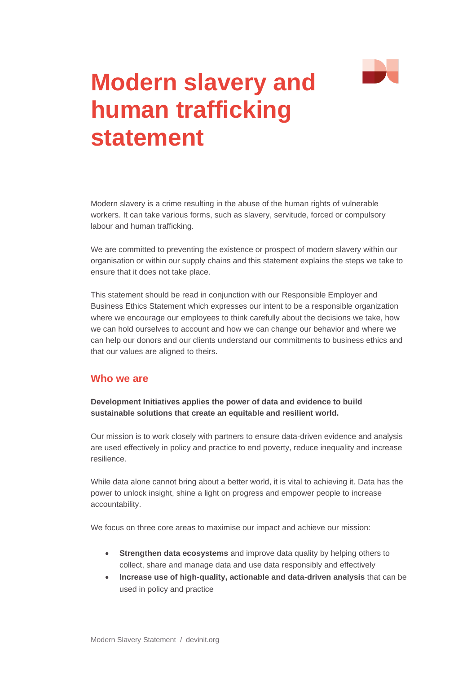

# **Modern slavery and human trafficking statement**

Modern slavery is a crime resulting in the abuse of the human rights of vulnerable workers. It can take various forms, such as slavery, servitude, forced or compulsory labour and human trafficking.

We are committed to preventing the existence or prospect of modern slavery within our organisation or within our supply chains and this statement explains the steps we take to ensure that it does not take place.

This statement should be read in conjunction with our Responsible Employer and Business Ethics Statement which expresses our intent to be a responsible organization where we encourage our employees to think carefully about the decisions we take, how we can hold ourselves to account and how we can change our behavior and where we can help our donors and our clients understand our commitments to business ethics and that our values are aligned to theirs.

### **Who we are**

**Development Initiatives applies the power of data and evidence to build sustainable solutions that create an equitable and resilient world.**

Our mission is to work closely with partners to ensure data-driven evidence and analysis are used effectively in policy and practice to end poverty, reduce inequality and increase resilience.

While data alone cannot bring about a better world, it is vital to achieving it. Data has the power to unlock insight, shine a light on progress and empower people to increase accountability.

We focus on three core areas to maximise our impact and achieve our mission:

- **Strengthen data ecosystems** and improve data quality by helping others to collect, share and manage data and use data responsibly and effectively
- **Increase use of high-quality, actionable and data-driven analysis** that can be used in policy and practice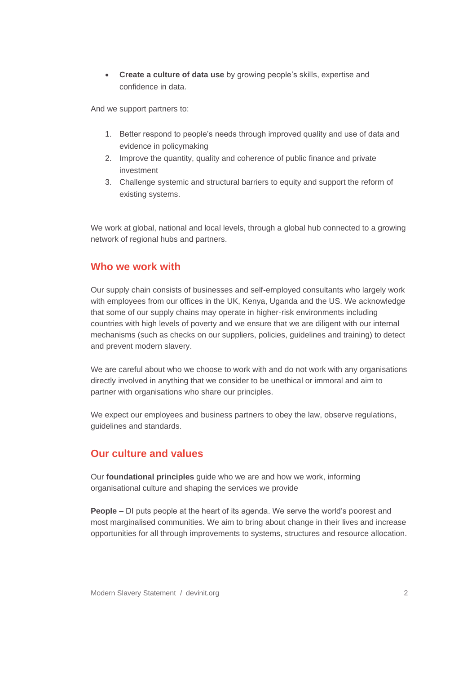• **Create a culture of data use** by growing people's skills, expertise and confidence in data.

And we support partners to:

- 1. Better respond to people's needs through improved quality and use of data and evidence in policymaking
- 2. Improve the quantity, quality and coherence of public finance and private investment
- 3. Challenge systemic and structural barriers to equity and support the reform of existing systems.

We work at global, national and local levels, through a global hub connected to a growing network of regional hubs and partners.

#### **Who we work with**

Our supply chain consists of businesses and self-employed consultants who largely work with employees from our offices in the UK, Kenya, Uganda and the US. We acknowledge that some of our supply chains may operate in higher-risk environments including countries with high levels of poverty and we ensure that we are diligent with our internal mechanisms (such as checks on our suppliers, policies, guidelines and training) to detect and prevent modern slavery.

We are careful about who we choose to work with and do not work with any organisations directly involved in anything that we consider to be unethical or immoral and aim to partner with organisations who share our principles.

We expect our employees and business partners to obey the law, observe regulations, guidelines and standards.

# **Our culture and values**

Our **foundational principles** guide who we are and how we work, informing organisational culture and shaping the services we provide

**People –** DI puts people at the heart of its agenda. We serve the world's poorest and most marginalised communities. We aim to bring about change in their lives and increase opportunities for all through improvements to systems, structures and resource allocation.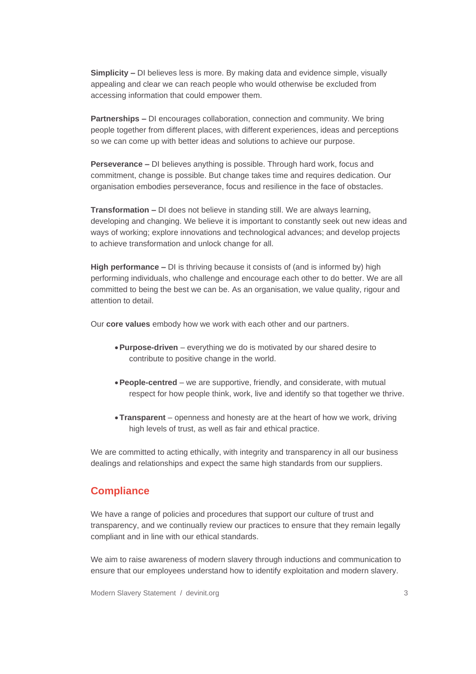**Simplicity –** DI believes less is more. By making data and evidence simple, visually appealing and clear we can reach people who would otherwise be excluded from accessing information that could empower them.

**Partnerships –** DI encourages collaboration, connection and community. We bring people together from different places, with different experiences, ideas and perceptions so we can come up with better ideas and solutions to achieve our purpose.

**Perseverance –** DI believes anything is possible. Through hard work, focus and commitment, change is possible. But change takes time and requires dedication. Our organisation embodies perseverance, focus and resilience in the face of obstacles.

**Transformation –** DI does not believe in standing still. We are always learning, developing and changing. We believe it is important to constantly seek out new ideas and ways of working; explore innovations and technological advances; and develop projects to achieve transformation and unlock change for all.

**High performance –** DI is thriving because it consists of (and is informed by) high performing individuals, who challenge and encourage each other to do better. We are all committed to being the best we can be. As an organisation, we value quality, rigour and attention to detail.

Our **core values** embody how we work with each other and our partners.

- •**Purpose-driven** everything we do is motivated by our shared desire to contribute to positive change in the world.
- •**People-centred** we are supportive, friendly, and considerate, with mutual respect for how people think, work, live and identify so that together we thrive.
- •**Transparent** openness and honesty are at the heart of how we work, driving high levels of trust, as well as fair and ethical practice.

We are committed to acting ethically, with integrity and transparency in all our business dealings and relationships and expect the same high standards from our suppliers.

### **Compliance**

We have a range of policies and procedures that support our culture of trust and transparency, and we continually review our practices to ensure that they remain legally compliant and in line with our ethical standards.

We aim to raise awareness of modern slavery through inductions and communication to ensure that our employees understand how to identify exploitation and modern slavery.